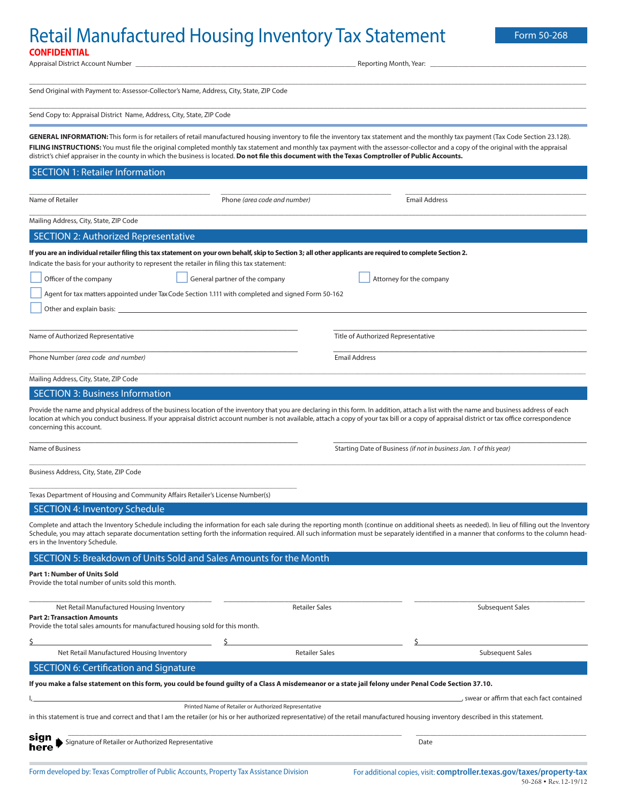## Retail Manufactured Housing Inventory Tax Statement Form 50-268 **CONFIDENTIAL**

| Appraisal District Account Number                                                                                                                                                                                                                                                                                                                                                                                                                                                                                               |                                                       |                                                                    | Reporting Month, Year:             |                                            |  |
|---------------------------------------------------------------------------------------------------------------------------------------------------------------------------------------------------------------------------------------------------------------------------------------------------------------------------------------------------------------------------------------------------------------------------------------------------------------------------------------------------------------------------------|-------------------------------------------------------|--------------------------------------------------------------------|------------------------------------|--------------------------------------------|--|
| Send Original with Payment to: Assessor-Collector's Name, Address, City, State, ZIP Code                                                                                                                                                                                                                                                                                                                                                                                                                                        |                                                       |                                                                    |                                    |                                            |  |
|                                                                                                                                                                                                                                                                                                                                                                                                                                                                                                                                 |                                                       |                                                                    |                                    |                                            |  |
| Send Copy to: Appraisal District Name, Address, City, State, ZIP Code                                                                                                                                                                                                                                                                                                                                                                                                                                                           |                                                       |                                                                    |                                    |                                            |  |
| GENERAL INFORMATION: This form is for retailers of retail manufactured housing inventory to file the inventory tax statement and the monthly tax payment (Tax Code Section 23.128).<br>FILING INSTRUCTIONS: You must file the original completed monthly tax statement and monthly tax payment with the assessor-collector and a copy of the original with the appraisal<br>district's chief appraiser in the county in which the business is located. Do not file this document with the Texas Comptroller of Public Accounts. |                                                       |                                                                    |                                    |                                            |  |
| <b>SECTION 1: Retailer Information</b>                                                                                                                                                                                                                                                                                                                                                                                                                                                                                          |                                                       |                                                                    |                                    |                                            |  |
| Name of Retailer                                                                                                                                                                                                                                                                                                                                                                                                                                                                                                                | Phone (area code and number)                          |                                                                    | <b>Email Address</b>               |                                            |  |
| Mailing Address, City, State, ZIP Code                                                                                                                                                                                                                                                                                                                                                                                                                                                                                          |                                                       |                                                                    |                                    |                                            |  |
| <b>SECTION 2: Authorized Representative</b>                                                                                                                                                                                                                                                                                                                                                                                                                                                                                     |                                                       |                                                                    |                                    |                                            |  |
| If you are an individual retailer filing this tax statement on your own behalf, skip to Section 3; all other applicants are required to complete Section 2.<br>Indicate the basis for your authority to represent the retailer in filing this tax statement:                                                                                                                                                                                                                                                                    |                                                       |                                                                    |                                    |                                            |  |
| Officer of the company                                                                                                                                                                                                                                                                                                                                                                                                                                                                                                          | General partner of the company                        |                                                                    | Attorney for the company           |                                            |  |
| Agent for tax matters appointed under Tax Code Section 1.111 with completed and signed Form 50-162                                                                                                                                                                                                                                                                                                                                                                                                                              |                                                       |                                                                    |                                    |                                            |  |
| Other and explain basis: _                                                                                                                                                                                                                                                                                                                                                                                                                                                                                                      |                                                       |                                                                    |                                    |                                            |  |
|                                                                                                                                                                                                                                                                                                                                                                                                                                                                                                                                 |                                                       |                                                                    |                                    |                                            |  |
| Name of Authorized Representative                                                                                                                                                                                                                                                                                                                                                                                                                                                                                               |                                                       |                                                                    | Title of Authorized Representative |                                            |  |
| Phone Number (area code and number)                                                                                                                                                                                                                                                                                                                                                                                                                                                                                             |                                                       | <b>Email Address</b>                                               |                                    |                                            |  |
| Mailing Address, City, State, ZIP Code                                                                                                                                                                                                                                                                                                                                                                                                                                                                                          |                                                       |                                                                    |                                    |                                            |  |
| <b>SECTION 3: Business Information</b>                                                                                                                                                                                                                                                                                                                                                                                                                                                                                          |                                                       |                                                                    |                                    |                                            |  |
| Provide the name and physical address of the business location of the inventory that you are declaring in this form. In addition, attach a list with the name and business address of each<br>location at which you conduct business. If your appraisal district account number is not available, attach a copy of your tax bill or a copy of appraisal district or tax office correspondence<br>concerning this account.                                                                                                       |                                                       |                                                                    |                                    |                                            |  |
| Name of Business                                                                                                                                                                                                                                                                                                                                                                                                                                                                                                                |                                                       | Starting Date of Business (if not in business Jan. 1 of this year) |                                    |                                            |  |
| Business Address, City, State, ZIP Code                                                                                                                                                                                                                                                                                                                                                                                                                                                                                         |                                                       |                                                                    |                                    |                                            |  |
| Texas Department of Housing and Community Affairs Retailer's License Number(s)                                                                                                                                                                                                                                                                                                                                                                                                                                                  |                                                       |                                                                    |                                    |                                            |  |
| <b>SECTION 4: Inventory Schedule</b>                                                                                                                                                                                                                                                                                                                                                                                                                                                                                            |                                                       |                                                                    |                                    |                                            |  |
| Complete and attach the Inventory Schedule including the information for each sale during the reporting month (continue on additional sheets as needed). In lieu of filling out the Inventory                                                                                                                                                                                                                                                                                                                                   |                                                       |                                                                    |                                    |                                            |  |
| Schedule, you may attach separate documentation setting forth the information required. All such information must be separately identified in a manner that conforms to the column head-<br>ers in the Inventory Schedule.                                                                                                                                                                                                                                                                                                      |                                                       |                                                                    |                                    |                                            |  |
| SECTION 5: Breakdown of Units Sold and Sales Amounts for the Month                                                                                                                                                                                                                                                                                                                                                                                                                                                              |                                                       |                                                                    |                                    |                                            |  |
| <b>Part 1: Number of Units Sold</b>                                                                                                                                                                                                                                                                                                                                                                                                                                                                                             |                                                       |                                                                    |                                    |                                            |  |
| Provide the total number of units sold this month.                                                                                                                                                                                                                                                                                                                                                                                                                                                                              |                                                       |                                                                    |                                    |                                            |  |
| Net Retail Manufactured Housing Inventory                                                                                                                                                                                                                                                                                                                                                                                                                                                                                       | <b>Retailer Sales</b>                                 |                                                                    |                                    | <b>Subsequent Sales</b>                    |  |
| <b>Part 2: Transaction Amounts</b><br>Provide the total sales amounts for manufactured housing sold for this month.                                                                                                                                                                                                                                                                                                                                                                                                             |                                                       |                                                                    |                                    |                                            |  |
| Ş                                                                                                                                                                                                                                                                                                                                                                                                                                                                                                                               |                                                       |                                                                    |                                    |                                            |  |
| Net Retail Manufactured Housing Inventory                                                                                                                                                                                                                                                                                                                                                                                                                                                                                       | <b>Retailer Sales</b>                                 |                                                                    |                                    | <b>Subsequent Sales</b>                    |  |
| <b>SECTION 6: Certification and Signature</b>                                                                                                                                                                                                                                                                                                                                                                                                                                                                                   |                                                       |                                                                    |                                    |                                            |  |
| If you make a false statement on this form, you could be found guilty of a Class A misdemeanor or a state jail felony under Penal Code Section 37.10.                                                                                                                                                                                                                                                                                                                                                                           |                                                       |                                                                    |                                    |                                            |  |
|                                                                                                                                                                                                                                                                                                                                                                                                                                                                                                                                 | Printed Name of Retailer or Authorized Representative |                                                                    |                                    | , swear or affirm that each fact contained |  |
| in this statement is true and correct and that I am the retailer (or his or her authorized representative) of the retail manufactured housing inventory described in this statement.                                                                                                                                                                                                                                                                                                                                            |                                                       |                                                                    |                                    |                                            |  |
| sıgn<br>Signature of Retailer or Authorized Representative                                                                                                                                                                                                                                                                                                                                                                                                                                                                      |                                                       |                                                                    | Date                               |                                            |  |
|                                                                                                                                                                                                                                                                                                                                                                                                                                                                                                                                 |                                                       |                                                                    |                                    |                                            |  |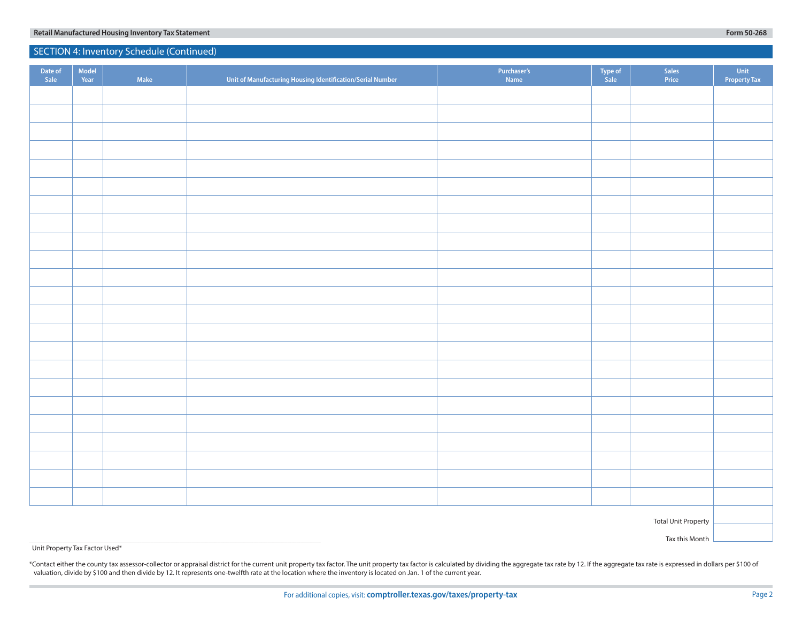| Date of<br>Sale            | Model<br>Year | Make | Unit of Manufacturing Housing Identification/Serial Number | Purchaser's<br>Name | Type of<br>Sale | Sales<br>Price | Unit<br>Property Tax |  |
|----------------------------|---------------|------|------------------------------------------------------------|---------------------|-----------------|----------------|----------------------|--|
|                            |               |      |                                                            |                     |                 |                |                      |  |
|                            |               |      |                                                            |                     |                 |                |                      |  |
|                            |               |      |                                                            |                     |                 |                |                      |  |
|                            |               |      |                                                            |                     |                 |                |                      |  |
|                            |               |      |                                                            |                     |                 |                |                      |  |
|                            |               |      |                                                            |                     |                 |                |                      |  |
|                            |               |      |                                                            |                     |                 |                |                      |  |
|                            |               |      |                                                            |                     |                 |                |                      |  |
|                            |               |      |                                                            |                     |                 |                |                      |  |
|                            |               |      |                                                            |                     |                 |                |                      |  |
|                            |               |      |                                                            |                     |                 |                |                      |  |
|                            |               |      |                                                            |                     |                 |                |                      |  |
|                            |               |      |                                                            |                     |                 |                |                      |  |
|                            |               |      |                                                            |                     |                 |                |                      |  |
|                            |               |      |                                                            |                     |                 |                |                      |  |
|                            |               |      |                                                            |                     |                 |                |                      |  |
|                            |               |      |                                                            |                     |                 |                |                      |  |
|                            |               |      |                                                            |                     |                 |                |                      |  |
|                            |               |      |                                                            |                     |                 |                |                      |  |
|                            |               |      |                                                            |                     |                 |                |                      |  |
|                            |               |      |                                                            |                     |                 |                |                      |  |
|                            |               |      |                                                            |                     |                 |                |                      |  |
|                            |               |      |                                                            |                     |                 |                |                      |  |
| <b>Total Unit Property</b> |               |      |                                                            |                     |                 |                |                      |  |
| Tax this Month             |               |      |                                                            |                     |                 |                |                      |  |

### Unit Property Tax Factor Used\*

×

\*Contact either the county tax assessor-collector or appraisal district for the current unit property tax factor. The unit property tax factor is calculated by dividing the aggregate tax rate by 12. If the aggregate tax ra valuation, divide by \$100 and then divide by 12. It represents one-twelfth rate at the location where the inventory is located on Jan. 1 of the current year.

## **Retail Manufactured Housing Inventory Tax Statement Form 50-268** SECTION 4: Inventory Schedule (Continued)